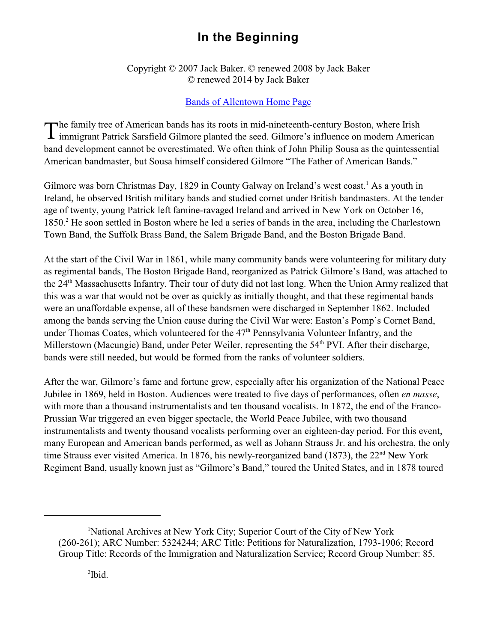## **In the Beginning**

Copyright © 2007 Jack Baker. © renewed 2008 by Jack Baker © renewed 2014 by Jack Baker

## [Bands of Allentown Home Page](http://www.bandsofallentown.org)

The family tree of American bands has its roots in mid-nineteenth-century Boston, where Irish<br>immigrant Patrick Sarsfield Gilmore planted the seed. Gilmore's influence on modern Ameri immigrant Patrick Sarsfield Gilmore planted the seed. Gilmore's influence on modern American band development cannot be overestimated. We often think of John Philip Sousa as the quintessential American bandmaster, but Sousa himself considered Gilmore "The Father of American Bands."

Gilmore was born Christmas Day, 1829 in County Galway on Ireland's west coast.<sup>1</sup> As a youth in Ireland, he observed British military bands and studied cornet under British bandmasters. At the tender age of twenty, young Patrick left famine-ravaged Ireland and arrived in New York on October 16, 1850.<sup>2</sup> He soon settled in Boston where he led a series of bands in the area, including the Charlestown Town Band, the Suffolk Brass Band, the Salem Brigade Band, and the Boston Brigade Band.

At the start of the Civil War in 1861, while many community bands were volunteering for military duty as regimental bands, The Boston Brigade Band, reorganized as Patrick Gilmore's Band, was attached to the 24<sup>th</sup> Massachusetts Infantry. Their tour of duty did not last long. When the Union Army realized that this was a war that would not be over as quickly as initially thought, and that these regimental bands were an unaffordable expense, all of these bandsmen were discharged in September 1862. Included among the bands serving the Union cause during the Civil War were: Easton's Pomp's Cornet Band, under Thomas Coates, which volunteered for the 47<sup>th</sup> Pennsylvania Volunteer Infantry, and the Millerstown (Macungie) Band, under Peter Weiler, representing the 54<sup>th</sup> PVI. After their discharge, bands were still needed, but would be formed from the ranks of volunteer soldiers.

After the war, Gilmore's fame and fortune grew, especially after his organization of the National Peace Jubilee in 1869, held in Boston. Audiences were treated to five days of performances, often *en masse*, with more than a thousand instrumentalists and ten thousand vocalists. In 1872, the end of the Franco-Prussian War triggered an even bigger spectacle, the World Peace Jubilee, with two thousand instrumentalists and twenty thousand vocalists performing over an eighteen-day period. For this event, many European and American bands performed, as well as Johann Strauss Jr. and his orchestra, the only time Strauss ever visited America. In 1876, his newly-reorganized band (1873), the  $22<sup>nd</sup>$  New York Regiment Band, usually known just as "Gilmore's Band," toured the United States, and in 1878 toured

<sup>&</sup>lt;sup>1</sup>National Archives at New York City; Superior Court of the City of New York (260-261); ARC Number: 5324244; ARC Title: Petitions for Naturalization, 1793-1906; Record Group Title: Records of the Immigration and Naturalization Service; Record Group Number: 85.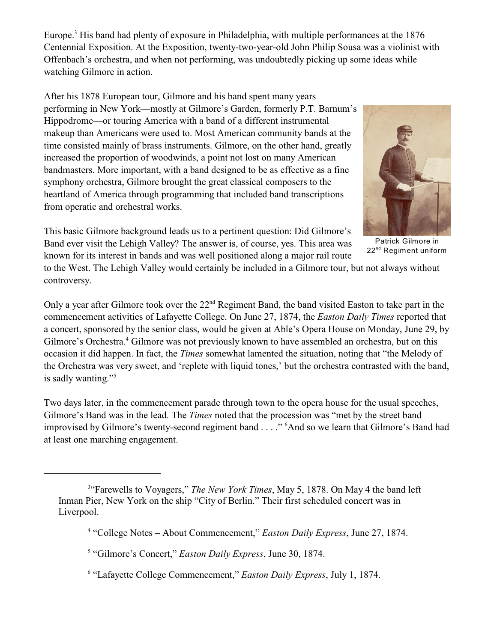Europe.<sup>3</sup> His band had plenty of exposure in Philadelphia, with multiple performances at the 1876 Centennial Exposition. At the Exposition, twenty-two-year-old John Philip Sousa was a violinist with Offenbach's orchestra, and when not performing, was undoubtedly picking up some ideas while watching Gilmore in action.

After his 1878 European tour, Gilmore and his band spent many years performing in New York—mostly at Gilmore's Garden, formerly P.T. Barnum's Hippodrome—or touring America with a band of a different instrumental makeup than Americans were used to. Most American community bands at the time consisted mainly of brass instruments. Gilmore, on the other hand, greatly increased the proportion of woodwinds, a point not lost on many American bandmasters. More important, with a band designed to be as effective as a fine symphony orchestra, Gilmore brought the great classical composers to the heartland of America through programming that included band transcriptions from operatic and orchestral works.



This basic Gilmore background leads us to a pertinent question: Did Gilmore's Band ever visit the Lehigh Valley? The answer is, of course, yes. This area was known for its interest in bands and was well positioned along a major rail route

Patrick Gilmore in 22<sup>nd</sup> Regiment uniform

to the West. The Lehigh Valley would certainly be included in a Gilmore tour, but not always without controversy.

Only a year after Gilmore took over the  $22<sup>nd</sup>$  Regiment Band, the band visited Easton to take part in the commencement activities of Lafayette College. On June 27, 1874, the *Easton Daily Times* reported that a concert, sponsored by the senior class, would be given at Able's Opera House on Monday, June 29, by Gilmore's Orchestra.<sup>4</sup> Gilmore was not previously known to have assembled an orchestra, but on this occasion it did happen. In fact, the *Times* somewhat lamented the situation, noting that "the Melody of the Orchestra was very sweet, and 'replete with liquid tones,' but the orchestra contrasted with the band, is sadly wanting."<sup>5</sup>

Two days later, in the commencement parade through town to the opera house for the usual speeches, Gilmore's Band was in the lead. The *Times* noted that the procession was "met by the street band improvised by Gilmore's twenty-second regiment band . . . ."<sup>6</sup>And so we learn that Gilmore's Band had at least one marching engagement.

<sup>4</sup> "College Notes – About Commencement," *Easton Daily Express*, June 27, 1874.

<sup>6</sup> "Lafayette College Commencement," *Easton Daily Express*, July 1, 1874.

<sup>&</sup>lt;sup>3</sup>"Farewells to Voyagers," *The New York Times*, May 5, 1878. On May 4 the band left Inman Pier, New York on the ship "City of Berlin." Their first scheduled concert was in Liverpool.

<sup>&</sup>lt;sup>5</sup> "Gilmore's Concert," *Easton Daily Express*, June 30, 1874.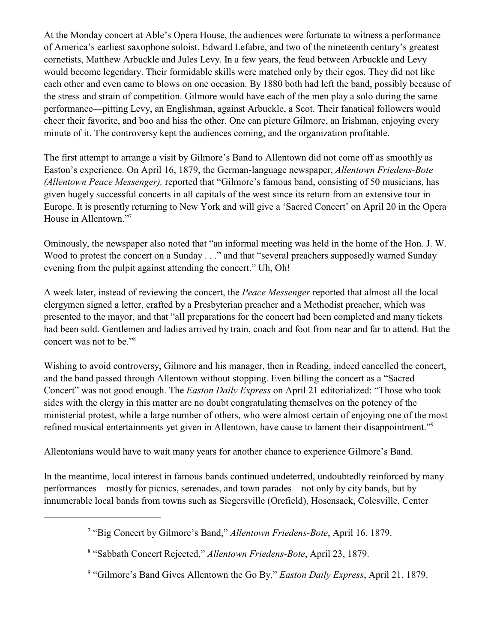At the Monday concert at Able's Opera House, the audiences were fortunate to witness a performance of America's earliest saxophone soloist, Edward Lefabre, and two of the nineteenth century's greatest cornetists, Matthew Arbuckle and Jules Levy. In a few years, the feud between Arbuckle and Levy would become legendary. Their formidable skills were matched only by their egos. They did not like each other and even came to blows on one occasion. By 1880 both had left the band, possibly because of the stress and strain of competition. Gilmore would have each of the men play a solo during the same performance—pitting Levy, an Englishman, against Arbuckle, a Scot. Their fanatical followers would cheer their favorite, and boo and hiss the other. One can picture Gilmore, an Irishman, enjoying every minute of it. The controversy kept the audiences coming, and the organization profitable.

The first attempt to arrange a visit by Gilmore's Band to Allentown did not come off as smoothly as Easton's experience. On April 16, 1879, the German-language newspaper, *Allentown Friedens-Bote (Allentown Peace Messenger),* reported that "Gilmore's famous band, consisting of 50 musicians, has given hugely successful concerts in all capitals of the west since its return from an extensive tour in Europe. It is presently returning to New York and will give a 'Sacred Concert' on April 20 in the Opera House in Allentown."<sup>7</sup>

Ominously, the newspaper also noted that "an informal meeting was held in the home of the Hon. J. W. Wood to protest the concert on a Sunday . . ." and that "several preachers supposedly warned Sunday evening from the pulpit against attending the concert." Uh, Oh!

A week later, instead of reviewing the concert, the *Peace Messenger* reported that almost all the local clergymen signed a letter, crafted by a Presbyterian preacher and a Methodist preacher, which was presented to the mayor, and that "all preparations for the concert had been completed and many tickets had been sold. Gentlemen and ladies arrived by train, coach and foot from near and far to attend. But the concert was not to be."<sup>8</sup>

Wishing to avoid controversy, Gilmore and his manager, then in Reading, indeed cancelled the concert, and the band passed through Allentown without stopping. Even billing the concert as a "Sacred Concert" was not good enough. The *Easton Daily Express* on April 21 editorialized: "Those who took sides with the clergy in this matter are no doubt congratulating themselves on the potency of the ministerial protest, while a large number of others, who were almost certain of enjoying one of the most refined musical entertainments yet given in Allentown, have cause to lament their disappointment."<sup>9</sup>

Allentonians would have to wait many years for another chance to experience Gilmore's Band.

In the meantime, local interest in famous bands continued undeterred, undoubtedly reinforced by many performances—mostly for picnics, serenades, and town parades—not only by city bands, but by innumerable local bands from towns such as Siegersville (Orefield), Hosensack, Colesville, Center

<sup>&</sup>lt;sup>7</sup> "Big Concert by Gilmore's Band," *Allentown Friedens-Bote*, April 16, 1879.

<sup>&</sup>lt;sup>8</sup> "Sabbath Concert Rejected," Allentown Friedens-Bote, April 23, 1879.

<sup>&</sup>lt;sup>9</sup> "Gilmore's Band Gives Allentown the Go By," *Easton Daily Express*, April 21, 1879.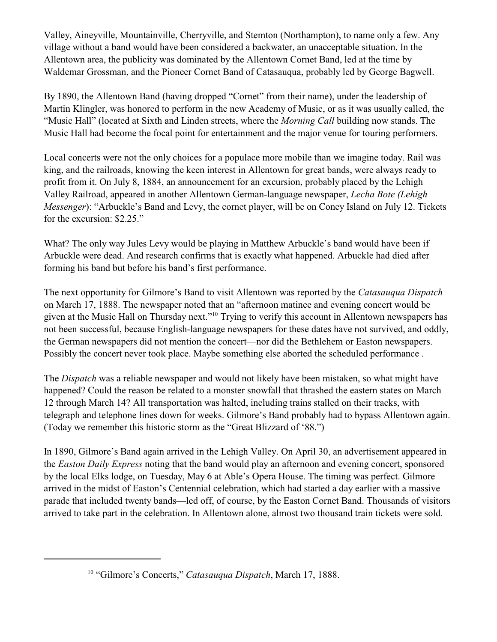Valley, Aineyville, Mountainville, Cherryville, and Stemton (Northampton), to name only a few. Any village without a band would have been considered a backwater, an unacceptable situation. In the Allentown area, the publicity was dominated by the Allentown Cornet Band, led at the time by Waldemar Grossman, and the Pioneer Cornet Band of Catasauqua, probably led by George Bagwell.

By 1890, the Allentown Band (having dropped "Cornet" from their name), under the leadership of Martin Klingler, was honored to perform in the new Academy of Music, or as it was usually called, the "Music Hall" (located at Sixth and Linden streets, where the *Morning Call* building now stands. The Music Hall had become the focal point for entertainment and the major venue for touring performers.

Local concerts were not the only choices for a populace more mobile than we imagine today. Rail was king, and the railroads, knowing the keen interest in Allentown for great bands, were always ready to profit from it. On July 8, 1884, an announcement for an excursion, probably placed by the Lehigh Valley Railroad, appeared in another Allentown German-language newspaper, *Lecha Bote (Lehigh Messenger*): "Arbuckle's Band and Levy, the cornet player, will be on Coney Island on July 12. Tickets for the excursion: \$2.25."

What? The only way Jules Levy would be playing in Matthew Arbuckle's band would have been if Arbuckle were dead. And research confirms that is exactly what happened. Arbuckle had died after forming his band but before his band's first performance.

The next opportunity for Gilmore's Band to visit Allentown was reported by the *Catasauqua Dispatch* on March 17, 1888. The newspaper noted that an "afternoon matinee and evening concert would be given at the Music Hall on Thursday next."<sup>10</sup> Trying to verify this account in Allentown newspapers has not been successful, because English-language newspapers for these dates have not survived, and oddly, the German newspapers did not mention the concert—nor did the Bethlehem or Easton newspapers. Possibly the concert never took place. Maybe something else aborted the scheduled performance .

The *Dispatch* was a reliable newspaper and would not likely have been mistaken, so what might have happened? Could the reason be related to a monster snowfall that thrashed the eastern states on March 12 through March 14? All transportation was halted, including trains stalled on their tracks, with telegraph and telephone lines down for weeks. Gilmore's Band probably had to bypass Allentown again. (Today we remember this historic storm as the "Great Blizzard of '88.")

In 1890, Gilmore's Band again arrived in the Lehigh Valley. On April 30, an advertisement appeared in the *Easton Daily Express* noting that the band would play an afternoon and evening concert, sponsored by the local Elks lodge, on Tuesday, May 6 at Able's Opera House. The timing was perfect. Gilmore arrived in the midst of Easton's Centennial celebration, which had started a day earlier with a massive parade that included twenty bands—led off, of course, by the Easton Cornet Band. Thousands of visitors arrived to take part in the celebration. In Allentown alone, almost two thousand train tickets were sold.

<sup>&</sup>lt;sup>10</sup> "Gilmore's Concerts," *Catasauqua Dispatch*, March 17, 1888.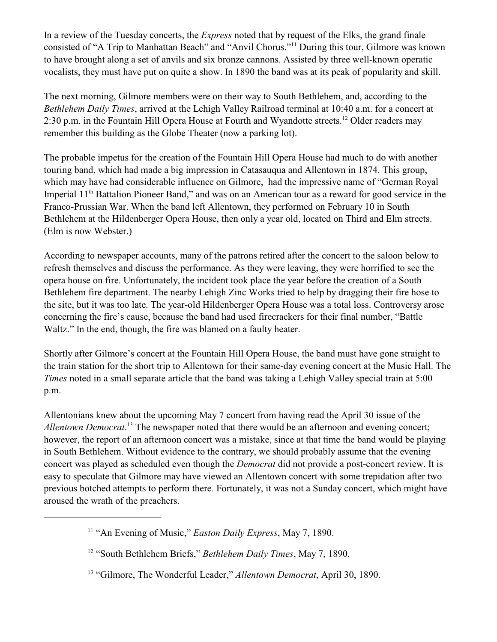In a review of the Tuesday concerts, the *Express* noted that by request of the Elks, the grand finale consisted of "A Trip to Manhattan Beach" and "Anvil Chorus."<sup>11</sup> During this tour, Gilmore was known to have brought along a set of anvils and six bronze cannons. Assisted by three well-known operatic vocalists, they must have put on quite a show. In 1890 the band was at its peak of popularity and skill.

The next morning, Gilmore members were on their way to South Bethlehem, and, according to the *Bethlehem Daily Times*, arrived at the Lehigh Valley Railroad terminal at 10:40 a.m. for a concert at 2:30 p.m. in the Fountain Hill Opera House at Fourth and Wyandotte streets.<sup>12</sup> Older readers may remember this building as the Globe Theater (now a parking lot).

The probable impetus for the creation of the Fountain Hill Opera House had much to do with another touring band, which had made a big impression in Catasauqua and Allentown in 1874. This group, which may have had considerable influence on Gilmore, had the impressive name of "German Royal Imperial 11<sup>th</sup> Battalion Pioneer Band," and was on an American tour as a reward for good service in the Franco-Prussian War. When the band left Allentown, they performed on February 10 in South Bethlehem at the Hildenberger Opera House, then only a year old, located on Third and Elm streets. (Elm is now Webster.)

According to newspaper accounts, many of the patrons retired after the concert to the saloon below to refresh themselves and discuss the performance. As they were leaving, they were horrified to see the opera house on fire. Unfortunately, the incident took place the year before the creation of a South Bethlehem fire department. The nearby Lehigh Zinc Works tried to help by dragging their fire hose to the site, but it was too late. The year-old Hildenberger Opera House was a total loss. Controversy arose concerning the fire's cause, because the band had used firecrackers for their final number, "Battle Waltz." In the end, though, the fire was blamed on a faulty heater.

Shortly after Gilmore's concert at the Fountain Hill Opera House, the band must have gone straight to the train station for the short trip to Allentown for their same-day evening concert at the Music Hall. The *Times* noted in a small separate article that the band was taking a Lehigh Valley special train at 5:00 p.m.

Allentonians knew about the upcoming May 7 concert from having read the April 30 issue of the Allentown Democrat.<sup>13</sup> The newspaper noted that there would be an afternoon and evening concert; however, the report of an afternoon concert was a mistake, since at that time the band would be playing in South Bethlehem. Without evidence to the contrary, we should probably assume that the evening concert was played as scheduled even though the *Democrat* did not provide a post-concert review. It is easy to speculate that Gilmore may have viewed an Allentown concert with some trepidation after two previous botched attempts to perform there. Fortunately, it was not a Sunday concert, which might have aroused the wrath of the preachers.

<sup>&</sup>lt;sup>11</sup> "An Evening of Music," *Easton Daily Express*, May 7, 1890.

<sup>&</sup>lt;sup>12</sup> "South Bethlehem Briefs," *Bethlehem Daily Times*, May 7, 1890.

<sup>&</sup>lt;sup>13</sup> "Gilmore, The Wonderful Leader," *Allentown Democrat*, April 30, 1890.